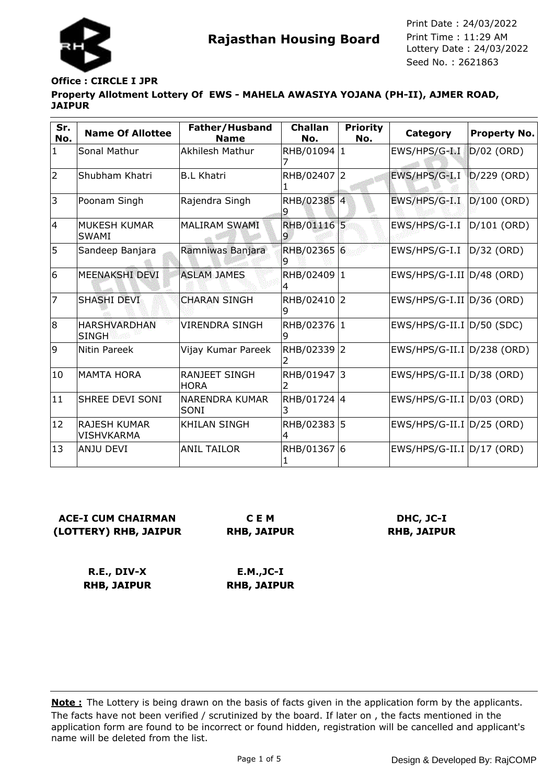

# **Office : CIRCLE I JPR**

#### **Property Allotment Lottery Of EWS - MAHELA AWASIYA YOJANA (PH-II), AJMER ROAD, JAIPUR**

| Sr.<br>No.     | <b>Name Of Allottee</b>             | Father/Husband<br><b>Name</b>       | <b>Challan</b><br>No. | <b>Priority</b><br>No. | <b>Category</b>                | <b>Property No.</b> |
|----------------|-------------------------------------|-------------------------------------|-----------------------|------------------------|--------------------------------|---------------------|
| $\mathbf{1}$   | Sonal Mathur                        | Akhilesh Mathur                     | RHB/01094 1           |                        | EWS/HPS/G-I I                  | $D/02$ (ORD)        |
| $\overline{2}$ | Shubham Khatri                      | <b>B.L Khatri</b>                   | RHB/02407 2           |                        | EWS/HPS/G-I.I                  | $D/229$ (ORD)       |
| 3              | Poonam Singh                        | Rajendra Singh                      | RHB/02385 4           |                        | EWS/HPS/G-I.I                  | D/100 (ORD)         |
| $\overline{4}$ | IMUKESH KUMAR<br><b>SWAMI</b>       | <b>MALIRAM SWAMI</b>                | RHB/01116 5           |                        | EWS/HPS/G-I.I                  | $D/101$ (ORD)       |
| 5              | Sandeep Banjara                     | Ramniwas Banjara                    | RHB/02365 6           |                        | EWS/HPS/G-I.I                  | D/32 (ORD)          |
| 6              | IMEENAKSHI DEVI                     | <b>ASLAM JAMES</b>                  | RHB/02409             | $\vert$ 1              | $EWS/HPS/G-I.II$ $ D/48$ (ORD) |                     |
| 7              | SHASHI DEVI                         | <b>CHARAN SINGH</b>                 | RHB/02410 2           |                        | $EWS/HPS/G-I.II$ $ D/36$ (ORD) |                     |
| 8              | <b>HARSHVARDHAN</b><br><b>SINGH</b> | <b>VIRENDRA SINGH</b>               | RHB/02376             | 1                      | $EWS/HPS/G-II.I  D/50 (SDC)$   |                     |
| 9              | Nitin Pareek                        | Vijay Kumar Pareek                  | RHB/02339 2           |                        | EWS/HPS/G-II.I D/238 (ORD)     |                     |
| 10             | MAMTA HORA                          | <b>RANJEET SINGH</b><br><b>HORA</b> | RHB/01947 3           |                        | $EWS/HPS/G-II.I  D/38 (ORD)$   |                     |
| 11             | <b>ISHREE DEVI SONI</b>             | <b>NARENDRA KUMAR</b><br>SONI       | RHB/01724 4           |                        | EWS/HPS/G-II.I D/03 (ORD)      |                     |
| 12             | lRAJESH KUMAR<br>VISHVKARMA         | <b>KHILAN SINGH</b>                 | RHB/02383 5           |                        | EWS/HPS/G-II.I   D/25 (ORD)    |                     |
| 13             | ANJU DEVI                           | <b>ANIL TAILOR</b>                  | RHB/01367             | 6                      | EWS/HPS/G-II.I  D/17 (ORD)     |                     |

# **ACE-I CUM CHAIRMAN (LOTTERY) RHB, JAIPUR**

**C E M RHB, JAIPUR**

# **DHC, JC-I RHB, JAIPUR**

**R.E., DIV-X RHB, JAIPUR**

**E.M.,JC-I RHB, JAIPUR**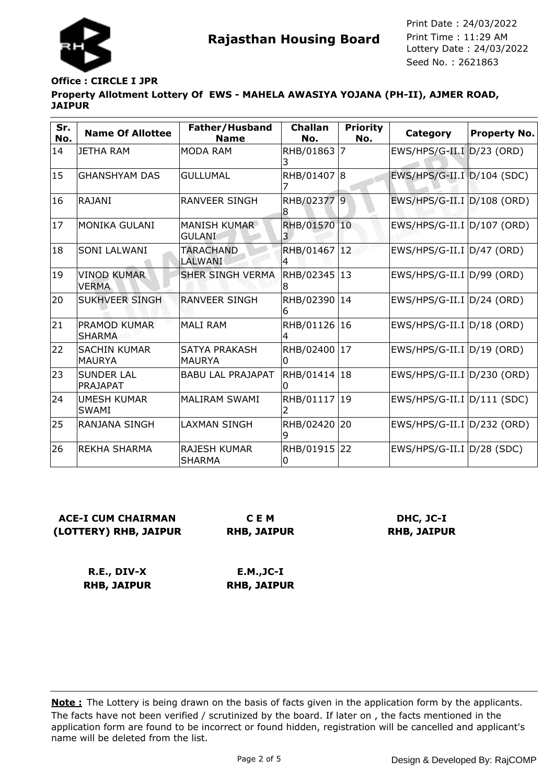

# **Office : CIRCLE I JPR**

**Property Allotment Lottery Of EWS - MAHELA AWASIYA YOJANA (PH-II), AJMER ROAD, JAIPUR**

| Sr.<br>No. | <b>Name Of Allottee</b>              | Father/Husband<br><b>Name</b>         | <b>Challan</b><br>No. | <b>Priority</b><br>No. | Category                       | <b>Property No.</b> |
|------------|--------------------------------------|---------------------------------------|-----------------------|------------------------|--------------------------------|---------------------|
| 14         | <b>JETHA RAM</b>                     | <b>MODA RAM</b>                       | RHB/01863             | 7                      | EWS/HPS/G-II.I D/23 (ORD)      |                     |
| 15         | <b>GHANSHYAM DAS</b>                 | <b>GULLUMAL</b>                       | RHB/01407 8           |                        | EWS/HPS/G-II.I D/104 (SDC)     |                     |
| 16         | <b>RAJANI</b>                        | RANVEER SINGH                         | RHB/02377 9<br>8      |                        | EWS/HPS/G-II.I D/108 (ORD)     |                     |
| 17         | <b>MONIKA GULANI</b>                 | <b>MANISH KUMAR</b><br><b>GULANI</b>  | RHB/01570             | 10                     | EWS/HPS/G-II.I D/107 (ORD)     |                     |
| 18         | <b>SONI LALWANI</b>                  | <b>TARACHAND</b><br>LALWANI           | RHB/01467<br>4        | <sup>12</sup>          | EWS/HPS/G-II.I D/47 (ORD)      |                     |
| 19         | <b>VINOD KUMAR</b><br><b>VERMA</b>   | <b>SHER SINGH VERMA</b>               | RHB/02345<br>8        | 13                     | EWS/HPS/G-II.I D/99 (ORD)      |                     |
| 20         | SUKHVEER SINGH                       | <b>RANVEER SINGH</b>                  | RHB/02390<br>6        | 14                     | EWS/HPS/G-II.I D/24 (ORD)      |                     |
| 21         | PRAMOD KUMAR<br><b>SHARMA</b>        | <b>MALI RAM</b>                       | RHB/01126<br>4        | 16                     | $EWS/HPS/G-II.I D/18 (ORD)$    |                     |
| 22         | <b>SACHIN KUMAR</b><br><b>MAURYA</b> | <b>SATYA PRAKASH</b><br><b>MAURYA</b> | RHB/02400<br>0        | 17                     | $EWS/HPS/G-II.I   D/19 (ORD)$  |                     |
| 23         | <b>SUNDER LAL</b><br>PRAJAPAT        | <b>BABU LAL PRAJAPAT</b>              | RHB/01414             | 18                     | EWS/HPS/G-II.I D/230 (ORD)     |                     |
| 24         | <b>UMESH KUMAR</b><br><b>SWAMI</b>   | <b>MALIRAM SWAMI</b>                  | RHB/01117             | 19                     | $EWS/HPS/G-II.I   D/111 (SDC)$ |                     |
| 25         | RANJANA SINGH                        | <b>LAXMAN SINGH</b>                   | RHB/02420<br>9        | 20                     | EWS/HPS/G-II.I D/232 (ORD)     |                     |
| 26         | <b>REKHA SHARMA</b>                  | <b>RAJESH KUMAR</b><br><b>SHARMA</b>  | RHB/01915<br>0        | 22                     | $EWS/HPS/G-II.I  D/28 (SDC)$   |                     |

# **ACE-I CUM CHAIRMAN (LOTTERY) RHB, JAIPUR**

**C E M RHB, JAIPUR**

### **DHC, JC-I RHB, JAIPUR**

**R.E., DIV-X RHB, JAIPUR**

**E.M.,JC-I RHB, JAIPUR**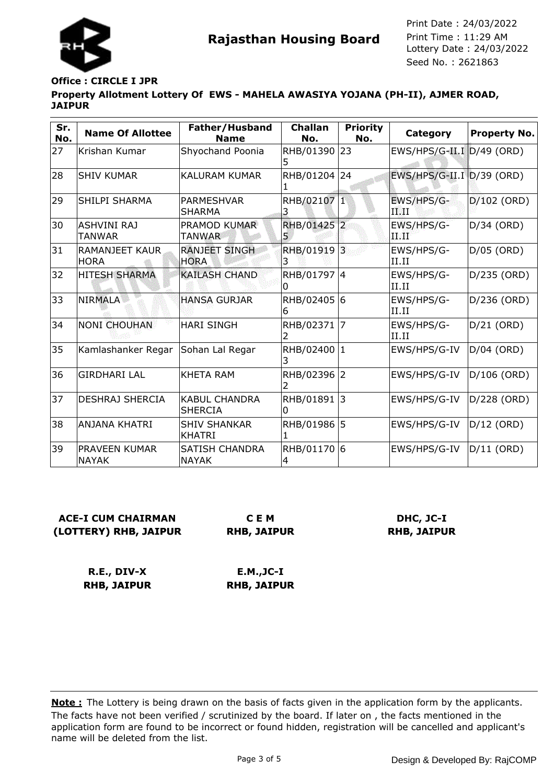

### **Office : CIRCLE I JPR**

**Property Allotment Lottery Of EWS - MAHELA AWASIYA YOJANA (PH-II), AJMER ROAD, JAIPUR**

| Sr.<br>No. | <b>Name Of Allottee</b>              | Father/Husband<br><b>Name</b>          | <b>Challan</b><br>No. | <b>Priority</b><br>No. | Category                  | <b>Property No.</b> |
|------------|--------------------------------------|----------------------------------------|-----------------------|------------------------|---------------------------|---------------------|
| 27         | Krishan Kumar                        | Shyochand Poonia                       | RHB/01390 23<br>5     |                        | EWS/HPS/G-II.I D/49 (ORD) |                     |
| 28         | <b>SHIV KUMAR</b>                    | <b>KALURAM KUMAR</b>                   | RHB/01204 24          |                        | EWS/HPS/G-II.I D/39 (ORD) |                     |
| 29         | SHILPI SHARMA                        | PARMESHVAR<br><b>SHARMA</b>            | RHB/02107 1<br>3      |                        | EWS/HPS/G-<br>тит         | $D/102$ (ORD)       |
| 30         | <b>ASHVINI RAJ</b><br>TANWAR         | PRAMOD KUMAR<br><b>TANWAR</b>          | RHB/01425 2<br>5      |                        | EWS/HPS/G-<br>a Bart      | D/34 (ORD)          |
| 31         | <b>RAMANJEET KAUR</b><br><b>HORA</b> | <b>RANJEET SINGH</b><br><b>HORA</b>    | RHB/01919 3<br>3      |                        | EWS/HPS/G-<br>II.II       | $D/05$ (ORD)        |
| 32         | <b>HITESH SHARMA</b>                 | <b>KAILASH CHAND</b>                   | RHB/01797 4<br>0      |                        | EWS/HPS/G-<br>II.II       | D/235 (ORD)         |
| 33         | <b>NIRMALA</b>                       | <b>HANSA GURJAR</b>                    | RHB/02405 6<br>6      |                        | EWS/HPS/G-<br>II.II       | D/236 (ORD)         |
| 34         | <b>NONI CHOUHAN</b>                  | <b>HARI SINGH</b>                      | RHB/02371 7           |                        | EWS/HPS/G-<br>II.II       | $D/21$ (ORD)        |
| 35         | Kamlashanker Regar                   | Sohan Lal Regar                        | RHB/02400 1           |                        | EWS/HPS/G-IV              | $D/04$ (ORD)        |
| 36         | <b>GIRDHARI LAL</b>                  | <b>KHETA RAM</b>                       | RHB/02396 2           |                        | EWS/HPS/G-IV              | D/106 (ORD)         |
| 37         | DESHRAJ SHERCIA                      | <b>KABUL CHANDRA</b><br><b>SHERCIA</b> | RHB/01891 3<br>ი      |                        | EWS/HPS/G-IV              | D/228 (ORD)         |
| 38         | lanjana khatri                       | <b>SHIV SHANKAR</b><br><b>KHATRI</b>   | RHB/01986 5           |                        | EWS/HPS/G-IV              | $D/12$ (ORD)        |
| 39         | <b>PRAVEEN KUMAR</b><br><b>NAYAK</b> | SATISH CHANDRA<br><b>NAYAK</b>         | RHB/01170 6<br>4      |                        | EWS/HPS/G-IV              | $D/11$ (ORD)        |

# **ACE-I CUM CHAIRMAN (LOTTERY) RHB, JAIPUR**

**C E M RHB, JAIPUR**

### **DHC, JC-I RHB, JAIPUR**

**R.E., DIV-X RHB, JAIPUR**

**E.M.,JC-I RHB, JAIPUR**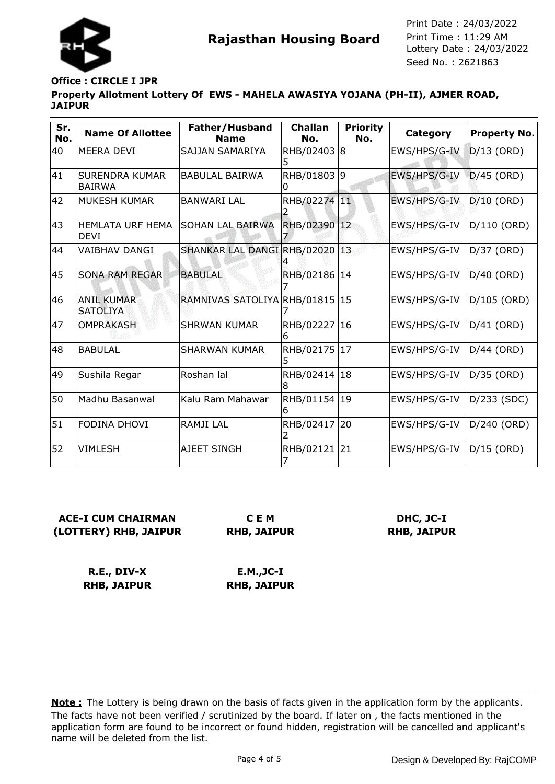

# **Office : CIRCLE I JPR**

**Property Allotment Lottery Of EWS - MAHELA AWASIYA YOJANA (PH-II), AJMER ROAD, JAIPUR**

| Sr.<br>No. | <b>Name Of Allottee</b>                 | Father/Husband<br><b>Name</b> | <b>Challan</b><br>No. | <b>Priority</b><br>No. | <b>Category</b> | <b>Property No.</b> |
|------------|-----------------------------------------|-------------------------------|-----------------------|------------------------|-----------------|---------------------|
| 40         | IMEERA DEVI                             | SAJJAN SAMARIYA               | RHB/02403 8           |                        | EWS/HPS/G-IV    | $D/13$ (ORD)        |
| 41         | <b>ISURENDRA KUMAR</b><br><b>BAIRWA</b> | <b>BABULAL BAIRWA</b>         | RHB/01803 9           |                        | EWS/HPS/G-IV    | $D/45$ (ORD)        |
| 42         | MUKESH KUMAR                            | <b>BANWARI LAL</b>            | RHB/02274 11          |                        | EWS/HPS/G-IV    | $D/10$ (ORD)        |
| 43         | HEMLATA URF HEMA<br>IDEVI               | <b>SOHAN LAL BAIRWA</b>       | RHB/02390 12          |                        | EWS/HPS/G-IV    | D/110 (ORD)         |
| 44         | <b>VAIBHAV DANGI</b>                    | SHANKAR LAL DANGI RHB/02020   |                       | 13                     | EWS/HPS/G-IV    | D/37 (ORD)          |
| 45         | <b>SONA RAM REGAR</b>                   | <b>BABULAL</b>                | RHB/02186             | 14                     | EWS/HPS/G-IV    | D/40 (ORD)          |
| 46         | <b>ANIL KUMAR</b><br><b>SATOLIYA</b>    | RAMNIVAS SATOLIYA RHB/01815   |                       | 15                     | EWS/HPS/G-IV    | D/105 (ORD)         |
| 47         | <b>OMPRAKASH</b>                        | <b>SHRWAN KUMAR</b>           | RHB/02227             | 16                     | EWS/HPS/G-IV    | $D/41$ (ORD)        |
| 48         | BABULAL                                 | <b>SHARWAN KUMAR</b>          | RHB/02175             | 17                     | EWS/HPS/G-IV    | D/44 (ORD)          |
| 49         | Sushila Regar                           | Roshan lal                    | RHB/02414<br>8        | 18                     | EWS/HPS/G-IV    | D/35 (ORD)          |
| 50         | Madhu Basanwal                          | Kalu Ram Mahawar              | RHB/01154             | 19                     | EWS/HPS/G-IV    | D/233 (SDC)         |
| 51         | FODINA DHOVI                            | <b>RAMJILAL</b>               | RHB/02417             | 20                     | EWS/HPS/G-IV    | D/240 (ORD)         |
| 52         | <b>VIMLESH</b>                          | AJEET SINGH                   | RHB/02121             | 21                     | EWS/HPS/G-IV    | $D/15$ (ORD)        |

# **ACE-I CUM CHAIRMAN (LOTTERY) RHB, JAIPUR**

**C E M RHB, JAIPUR**

### **DHC, JC-I RHB, JAIPUR**

**R.E., DIV-X RHB, JAIPUR**

**E.M.,JC-I RHB, JAIPUR**